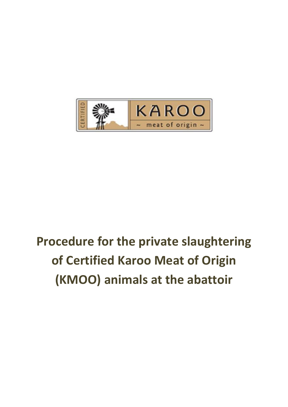

# **Procedure for the private slaughtering of Certified Karoo Meat of Origin (KMOO) animals at the abattoir**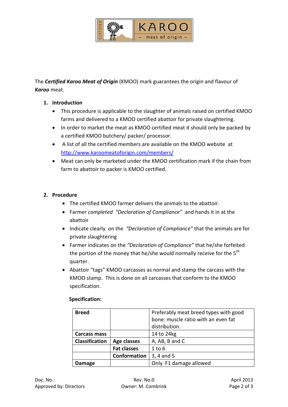

The *Certified Karoo Meat of Origin* (KMOO) mark guarantees the origin and flavour of *Karoo* meat.

### **1. Introduction**

- This procedure is applicable to the slaughter of animals raised on certified KMOO farms and delivered to a KMOO certified abattoir for private slaughtering.
- In order to market the meat as KMOO certified meat it should only be packed by a certified KMOO butchery/ packer/ processor.
- A list of all the certified members are available on the KMOO website at <http://www.karoomeatoforigin.com/members/>
- Meat can only be marketed under the KMOO certification mark if the chain from farm to abattoir to packer is KMOO certified.

### **2. Procedure**

- The certified KMOO farmer delivers the animals to the abattoir.
- Farmer *completed "Declaration of Compliance"* and hands it in at the abattoir
- Indicate clearly on the *"Declaration of Compliance"* that the animals are for private slaughtering
- Farmer indicates on the *"Declaration of Compliance"* that he/she forfeited the portion of the money that he/she would normally receive for the  $5<sup>th</sup>$ quarter.
- Abattoir "tags" KMOO carcasses as normal and stamp the carcass with the KMOO stamp. This is done on all carcasses that conform to the KMOO specification.

| <b>Breed</b>          |                    | Preferably meat breed types with good<br>bone: muscle ratio with an even fat<br>distribution. |
|-----------------------|--------------------|-----------------------------------------------------------------------------------------------|
| <b>Carcass mass</b>   |                    | 14 to 24kg                                                                                    |
| <b>Classification</b> | Age classes        | A, AB, B and C                                                                                |
|                       | <b>Fat classes</b> | $1$ to $6$                                                                                    |
|                       | Conformation       | 3, 4 and 5                                                                                    |
| <b>Damage</b>         |                    | Only F1 damage allowed                                                                        |

#### **Specification:**